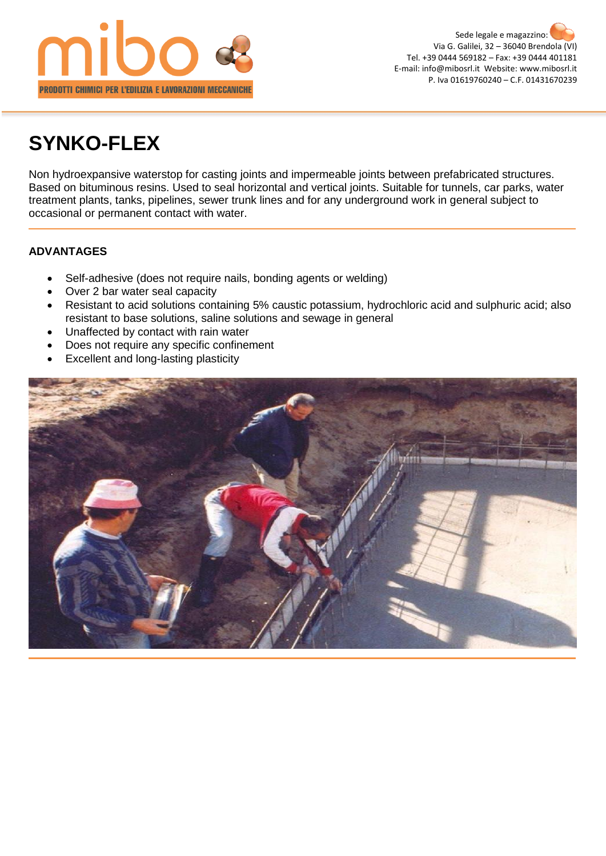

# **SYNKO-FLEX**

Non hydroexpansive waterstop for casting joints and impermeable joints between prefabricated structures. Based on bituminous resins. Used to seal horizontal and vertical joints. Suitable for tunnels, car parks, water treatment plants, tanks, pipelines, sewer trunk lines and for any underground work in general subject to occasional or permanent contact with water.

## **ADVANTAGES**

- Self-adhesive (does not require nails, bonding agents or welding)
- Over 2 bar water seal capacity
- Resistant to acid solutions containing 5% caustic potassium, hydrochloric acid and sulphuric acid; also resistant to base solutions, saline solutions and sewage in general
- Unaffected by contact with rain water
- Does not require any specific confinement
- Excellent and long-lasting plasticity

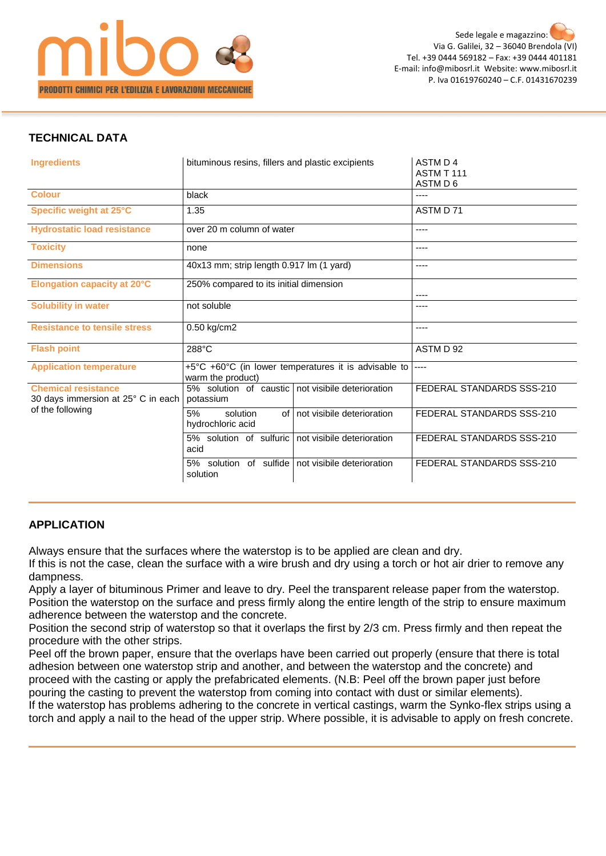

#### **TECHNICAL DATA**

| <b>Ingredients</b>                                               | bituminous resins, fillers and plastic excipients                         | ASTM D 4<br>ASTM T 111<br>ASTM D 6 |
|------------------------------------------------------------------|---------------------------------------------------------------------------|------------------------------------|
| <b>Colour</b>                                                    | black                                                                     |                                    |
| Specific weight at 25°C                                          | 1.35                                                                      | ASTM D 71                          |
| <b>Hydrostatic load resistance</b>                               | over 20 m column of water                                                 | ----                               |
| <b>Toxicity</b>                                                  | none                                                                      | ----                               |
| <b>Dimensions</b>                                                | 40x13 mm; strip length 0.917 lm (1 yard)                                  | ----                               |
| <b>Elongation capacity at 20°C</b>                               | 250% compared to its initial dimension                                    | ----                               |
| <b>Solubility in water</b>                                       | not soluble                                                               | ----                               |
| <b>Resistance to tensile stress</b>                              | 0.50 kg/cm2                                                               |                                    |
| <b>Flash point</b>                                               | 288°C                                                                     | ASTM D 92                          |
| <b>Application temperature</b>                                   | +5°C +60°C (in lower temperatures it is advisable to<br>warm the product) |                                    |
| <b>Chemical resistance</b><br>30 days immersion at 25° C in each | not visibile deterioration<br>5% solution of caustic<br>potassium         | FEDERAL STANDARDS SSS-210          |
| of the following                                                 | 5%<br>of I not visibile deterioration<br>solution<br>hydrochloric acid    | FEDERAL STANDARDS SSS-210          |
|                                                                  | 5% solution of sulfuric<br>not visibile deterioration<br>acid             | FEDERAL STANDARDS SSS-210          |
|                                                                  | of sulfide<br>5% solution<br>not visibile deterioration<br>solution       | FEDERAL STANDARDS SSS-210          |

#### **APPLICATION**

Always ensure that the surfaces where the waterstop is to be applied are clean and dry.

If this is not the case, clean the surface with a wire brush and dry using a torch or hot air drier to remove any dampness.

Apply a layer of bituminous Primer and leave to dry. Peel the transparent release paper from the waterstop. Position the waterstop on the surface and press firmly along the entire length of the strip to ensure maximum adherence between the waterstop and the concrete.

Position the second strip of waterstop so that it overlaps the first by 2/3 cm. Press firmly and then repeat the procedure with the other strips.

Peel off the brown paper, ensure that the overlaps have been carried out properly (ensure that there is total adhesion between one waterstop strip and another, and between the waterstop and the concrete) and proceed with the casting or apply the prefabricated elements. (N.B: Peel off the brown paper just before pouring the casting to prevent the waterstop from coming into contact with dust or similar elements). If the waterstop has problems adhering to the concrete in vertical castings, warm the Synko-flex strips using a torch and apply a nail to the head of the upper strip. Where possible, it is advisable to apply on fresh concrete.